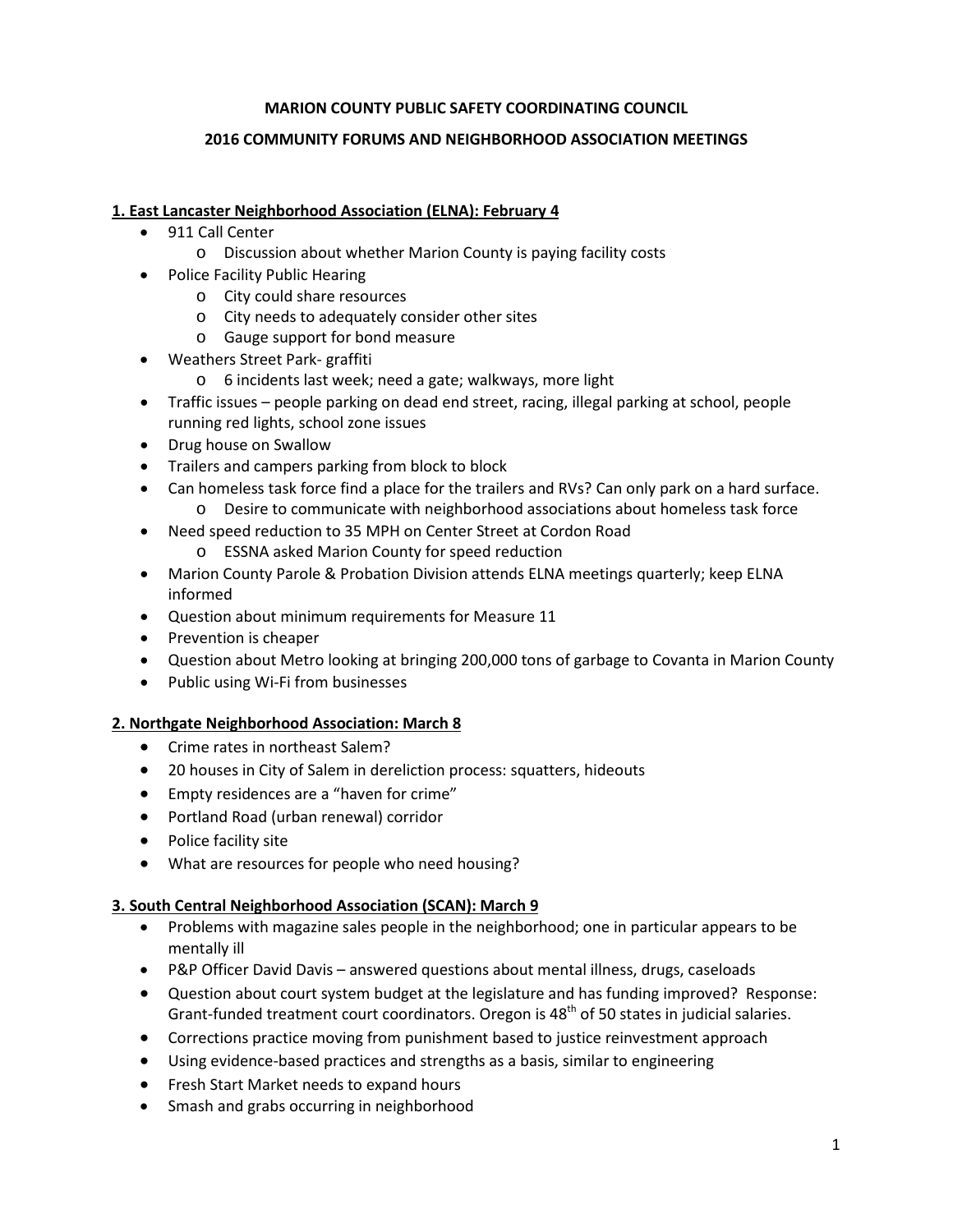### **MARION COUNTY PUBLIC SAFETY COORDINATING COUNCIL**

### **2016 COMMUNITY FORUMS AND NEIGHBORHOOD ASSOCIATION MEETINGS**

### **1. East Lancaster Neighborhood Association (ELNA): February 4**

- 911 Call Center
	- o Discussion about whether Marion County is paying facility costs
- Police Facility Public Hearing
	- o City could share resources
	- o City needs to adequately consider other sites
	- o Gauge support for bond measure
- Weathers Street Park- graffiti
	- o 6 incidents last week; need a gate; walkways, more light
- Traffic issues people parking on dead end street, racing, illegal parking at school, people running red lights, school zone issues
- Drug house on Swallow
- Trailers and campers parking from block to block
- Can homeless task force find a place for the trailers and RVs? Can only park on a hard surface. o Desire to communicate with neighborhood associations about homeless task force
- Need speed reduction to 35 MPH on Center Street at Cordon Road
	- o ESSNA asked Marion County for speed reduction
- Marion County Parole & Probation Division attends ELNA meetings quarterly; keep ELNA informed
- Question about minimum requirements for Measure 11
- Prevention is cheaper
- Question about Metro looking at bringing 200,000 tons of garbage to Covanta in Marion County
- Public using Wi-Fi from businesses

## **2. Northgate Neighborhood Association: March 8**

- Crime rates in northeast Salem?
- 20 houses in City of Salem in dereliction process: squatters, hideouts
- Empty residences are a "haven for crime"
- Portland Road (urban renewal) corridor
- Police facility site
- What are resources for people who need housing?

## **3. South Central Neighborhood Association (SCAN): March 9**

- Problems with magazine sales people in the neighborhood; one in particular appears to be mentally ill
- P&P Officer David Davis answered questions about mental illness, drugs, caseloads
- Question about court system budget at the legislature and has funding improved? Response: Grant-funded treatment court coordinators. Oregon is  $48<sup>th</sup>$  of 50 states in judicial salaries.
- Corrections practice moving from punishment based to justice reinvestment approach
- Using evidence-based practices and strengths as a basis, similar to engineering
- Fresh Start Market needs to expand hours
- Smash and grabs occurring in neighborhood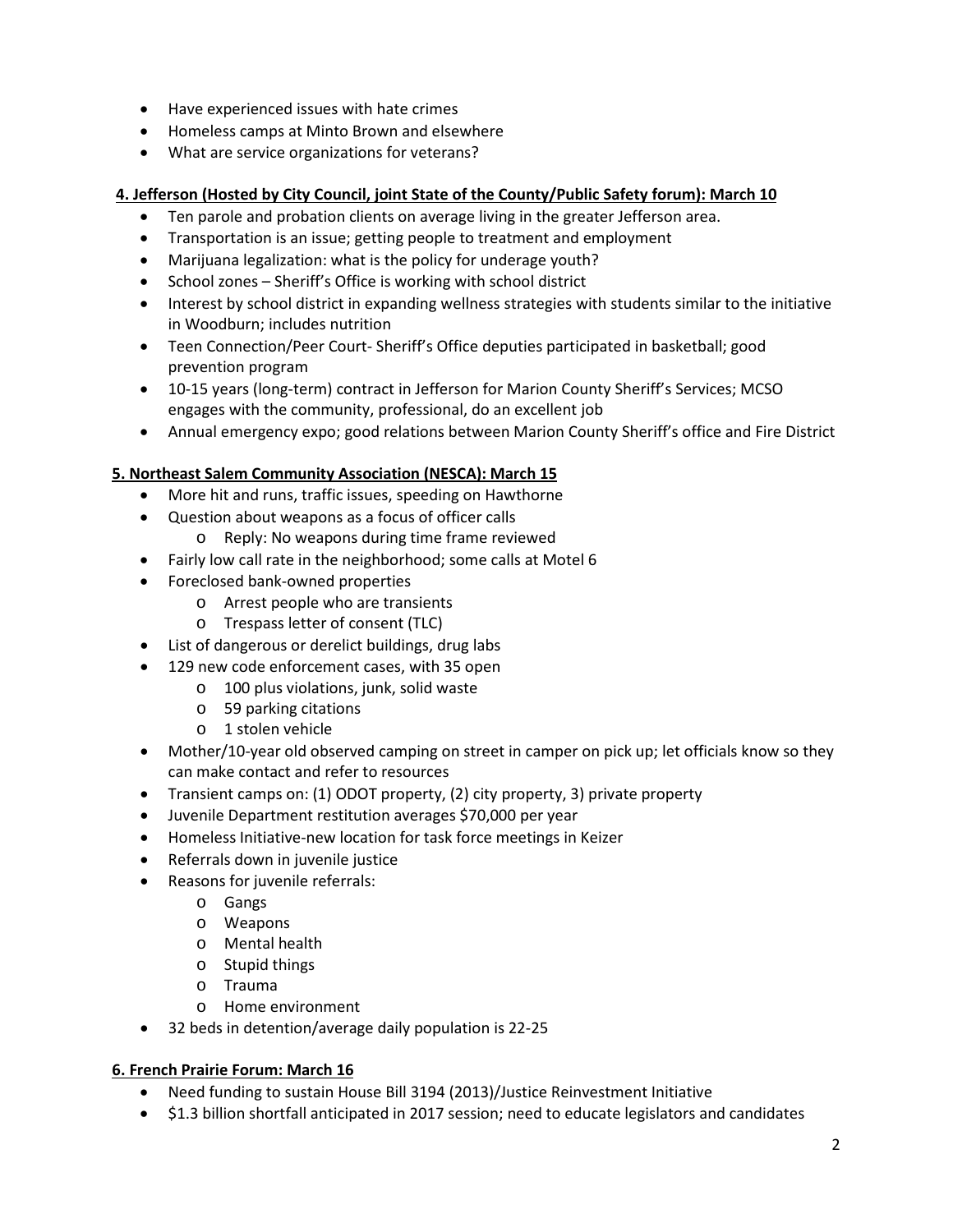- Have experienced issues with hate crimes
- Homeless camps at Minto Brown and elsewhere
- What are service organizations for veterans?

### **4. Jefferson (Hosted by City Council, joint State of the County/Public Safety forum): March 10**

- Ten parole and probation clients on average living in the greater Jefferson area.
- Transportation is an issue; getting people to treatment and employment
- Marijuana legalization: what is the policy for underage youth?
- School zones Sheriff's Office is working with school district
- Interest by school district in expanding wellness strategies with students similar to the initiative in Woodburn; includes nutrition
- Teen Connection/Peer Court- Sheriff's Office deputies participated in basketball; good prevention program
- 10-15 years (long-term) contract in Jefferson for Marion County Sheriff's Services; MCSO engages with the community, professional, do an excellent job
- Annual emergency expo; good relations between Marion County Sheriff's office and Fire District

### **5. Northeast Salem Community Association (NESCA): March 15**

- More hit and runs, traffic issues, speeding on Hawthorne
- Question about weapons as a focus of officer calls
	- o Reply: No weapons during time frame reviewed
- Fairly low call rate in the neighborhood; some calls at Motel 6
- Foreclosed bank-owned properties
	- o Arrest people who are transients
	- o Trespass letter of consent (TLC)
- List of dangerous or derelict buildings, drug labs
- 129 new code enforcement cases, with 35 open
	- o 100 plus violations, junk, solid waste
		- o 59 parking citations
		- o 1 stolen vehicle
- Mother/10-year old observed camping on street in camper on pick up; let officials know so they can make contact and refer to resources
- Transient camps on: (1) ODOT property, (2) city property, 3) private property
- Juvenile Department restitution averages \$70,000 per year
- Homeless Initiative-new location for task force meetings in Keizer
- Referrals down in juvenile justice
- Reasons for juvenile referrals:
	- o Gangs
	- o Weapons
	- o Mental health
	- o Stupid things
	- o Trauma
	- o Home environment
- 32 beds in detention/average daily population is 22-25

#### **6. French Prairie Forum: March 16**

- Need funding to sustain House Bill 3194 (2013)/Justice Reinvestment Initiative
- \$1.3 billion shortfall anticipated in 2017 session; need to educate legislators and candidates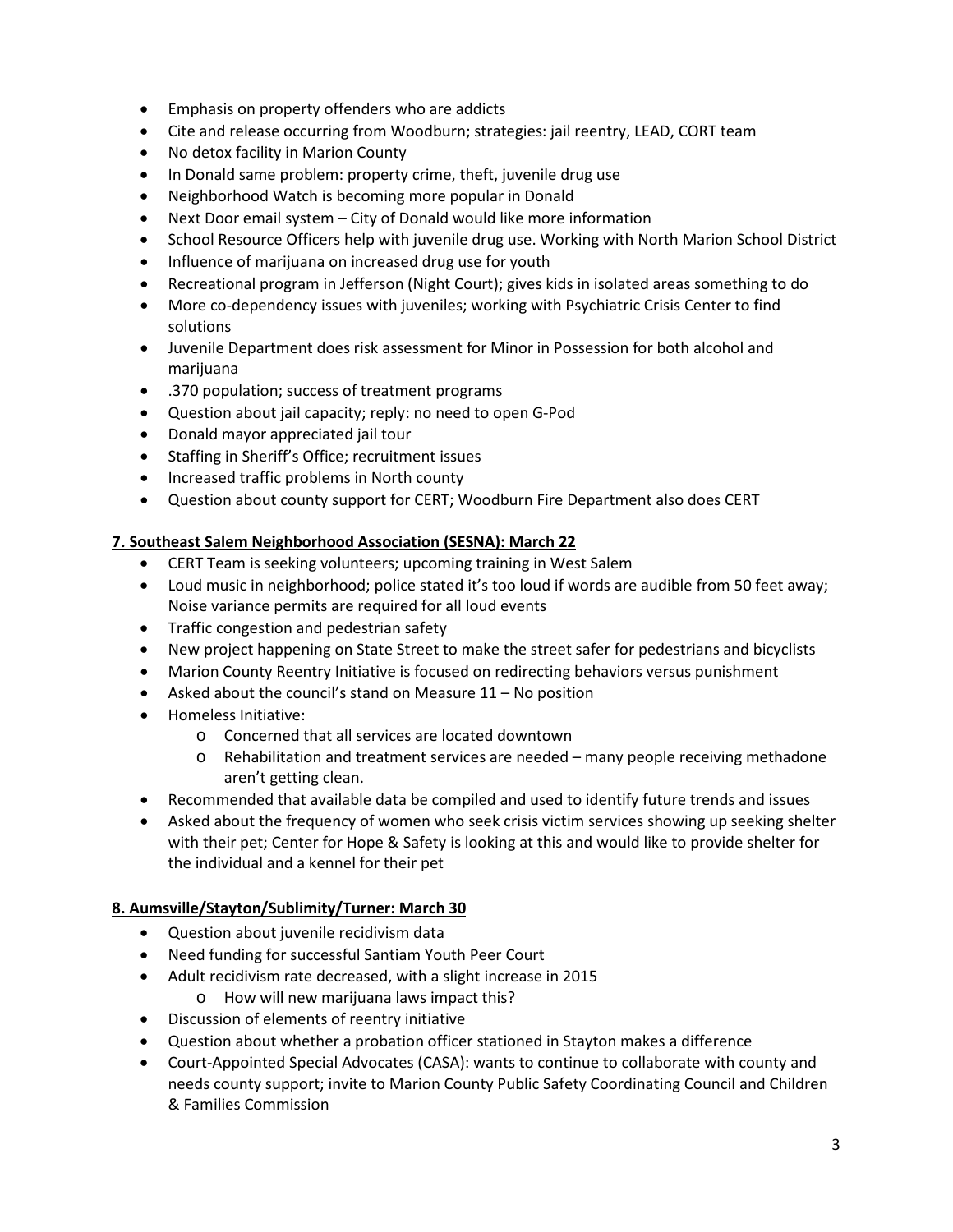- Emphasis on property offenders who are addicts
- Cite and release occurring from Woodburn; strategies: jail reentry, LEAD, CORT team
- No detox facility in Marion County
- In Donald same problem: property crime, theft, juvenile drug use
- Neighborhood Watch is becoming more popular in Donald
- Next Door email system City of Donald would like more information
- School Resource Officers help with juvenile drug use. Working with North Marion School District
- Influence of marijuana on increased drug use for youth
- Recreational program in Jefferson (Night Court); gives kids in isolated areas something to do
- More co-dependency issues with juveniles; working with Psychiatric Crisis Center to find solutions
- Juvenile Department does risk assessment for Minor in Possession for both alcohol and marijuana
- .370 population; success of treatment programs
- Question about jail capacity; reply: no need to open G-Pod
- Donald mayor appreciated jail tour
- Staffing in Sheriff's Office; recruitment issues
- Increased traffic problems in North county
- Question about county support for CERT; Woodburn Fire Department also does CERT

## **7. Southeast Salem Neighborhood Association (SESNA): March 22**

- CERT Team is seeking volunteers; upcoming training in West Salem
- Loud music in neighborhood; police stated it's too loud if words are audible from 50 feet away; Noise variance permits are required for all loud events
- Traffic congestion and pedestrian safety
- New project happening on State Street to make the street safer for pedestrians and bicyclists
- Marion County Reentry Initiative is focused on redirecting behaviors versus punishment
- Asked about the council's stand on Measure 11 No position
- Homeless Initiative:
	- o Concerned that all services are located downtown
	- $\circ$  Rehabilitation and treatment services are needed many people receiving methadone aren't getting clean.
- Recommended that available data be compiled and used to identify future trends and issues
- Asked about the frequency of women who seek crisis victim services showing up seeking shelter with their pet; Center for Hope & Safety is looking at this and would like to provide shelter for the individual and a kennel for their pet

# **8. Aumsville/Stayton/Sublimity/Turner: March 30**

- Question about juvenile recidivism data
- Need funding for successful Santiam Youth Peer Court
- Adult recidivism rate decreased, with a slight increase in 2015
	- o How will new marijuana laws impact this?
- Discussion of elements of reentry initiative
- Question about whether a probation officer stationed in Stayton makes a difference
- Court-Appointed Special Advocates (CASA): wants to continue to collaborate with county and needs county support; invite to Marion County Public Safety Coordinating Council and Children & Families Commission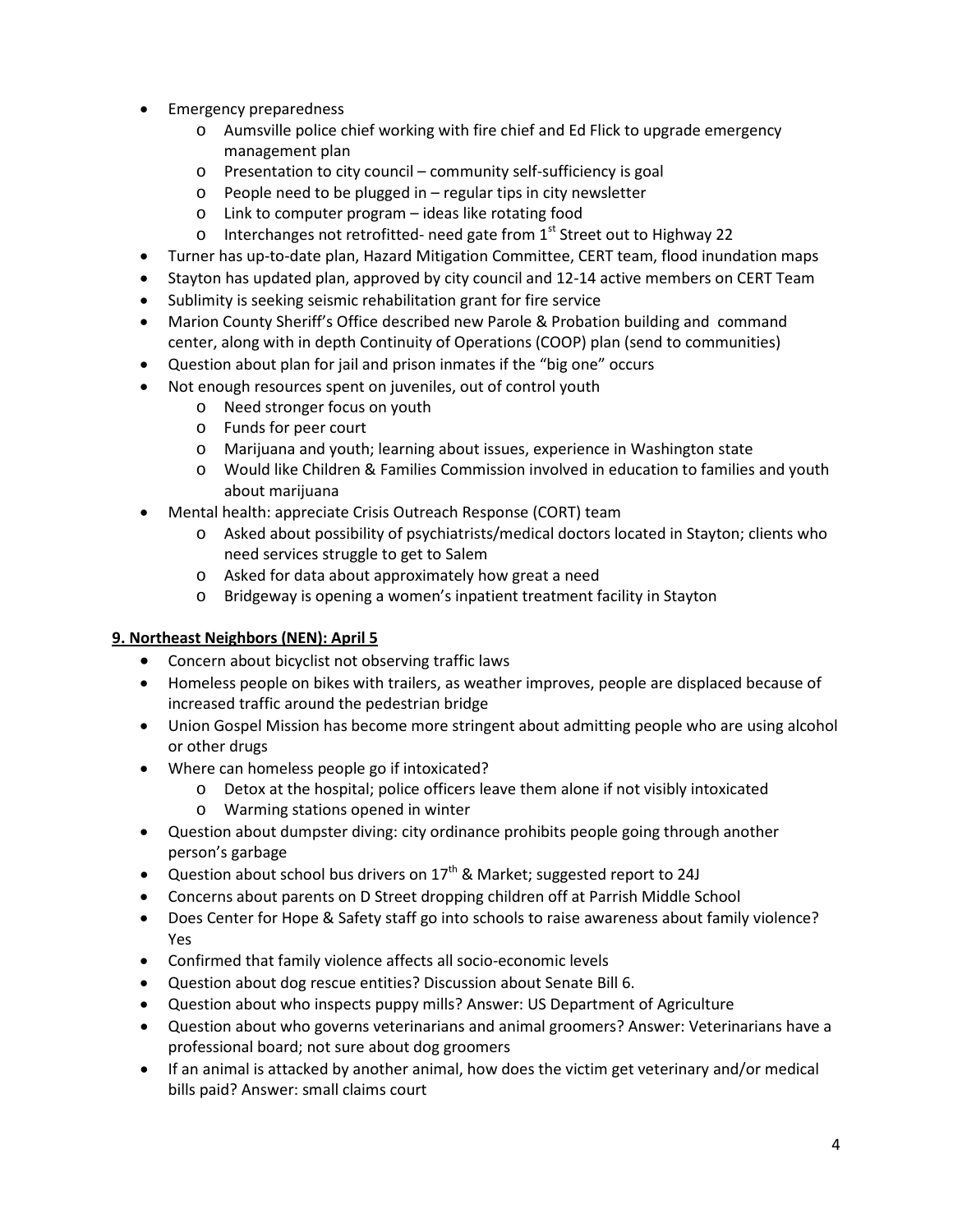- Emergency preparedness
	- o Aumsville police chief working with fire chief and Ed Flick to upgrade emergency management plan
	- o Presentation to city council community self-sufficiency is goal
	- $\circ$  People need to be plugged in regular tips in city newsletter
	- o Link to computer program ideas like rotating food
	- o Interchanges not retrofitted- need gate from  $1<sup>st</sup>$  Street out to Highway 22
- Turner has up-to-date plan, Hazard Mitigation Committee, CERT team, flood inundation maps
- Stayton has updated plan, approved by city council and 12-14 active members on CERT Team
- Sublimity is seeking seismic rehabilitation grant for fire service
- Marion County Sheriff's Office described new Parole & Probation building and command center, along with in depth Continuity of Operations (COOP) plan (send to communities)
- Question about plan for jail and prison inmates if the "big one" occurs
- Not enough resources spent on juveniles, out of control youth
	- o Need stronger focus on youth
	- o Funds for peer court
	- o Marijuana and youth; learning about issues, experience in Washington state
	- o Would like Children & Families Commission involved in education to families and youth about marijuana
- Mental health: appreciate Crisis Outreach Response (CORT) team
	- o Asked about possibility of psychiatrists/medical doctors located in Stayton; clients who need services struggle to get to Salem
	- o Asked for data about approximately how great a need
	- o Bridgeway is opening a women's inpatient treatment facility in Stayton

## **9. Northeast Neighbors (NEN): April 5**

- Concern about bicyclist not observing traffic laws
- Homeless people on bikes with trailers, as weather improves, people are displaced because of increased traffic around the pedestrian bridge
- Union Gospel Mission has become more stringent about admitting people who are using alcohol or other drugs
- Where can homeless people go if intoxicated?
	- o Detox at the hospital; police officers leave them alone if not visibly intoxicated
	- o Warming stations opened in winter
- Question about dumpster diving: city ordinance prohibits people going through another person's garbage
- Question about school bus drivers on  $17<sup>th</sup>$  & Market; suggested report to 24J
- Concerns about parents on D Street dropping children off at Parrish Middle School
- Does Center for Hope & Safety staff go into schools to raise awareness about family violence? Yes
- Confirmed that family violence affects all socio-economic levels
- Question about dog rescue entities? Discussion about Senate Bill 6.
- Question about who inspects puppy mills? Answer: US Department of Agriculture
- Question about who governs veterinarians and animal groomers? Answer: Veterinarians have a professional board; not sure about dog groomers
- If an animal is attacked by another animal, how does the victim get veterinary and/or medical bills paid? Answer: small claims court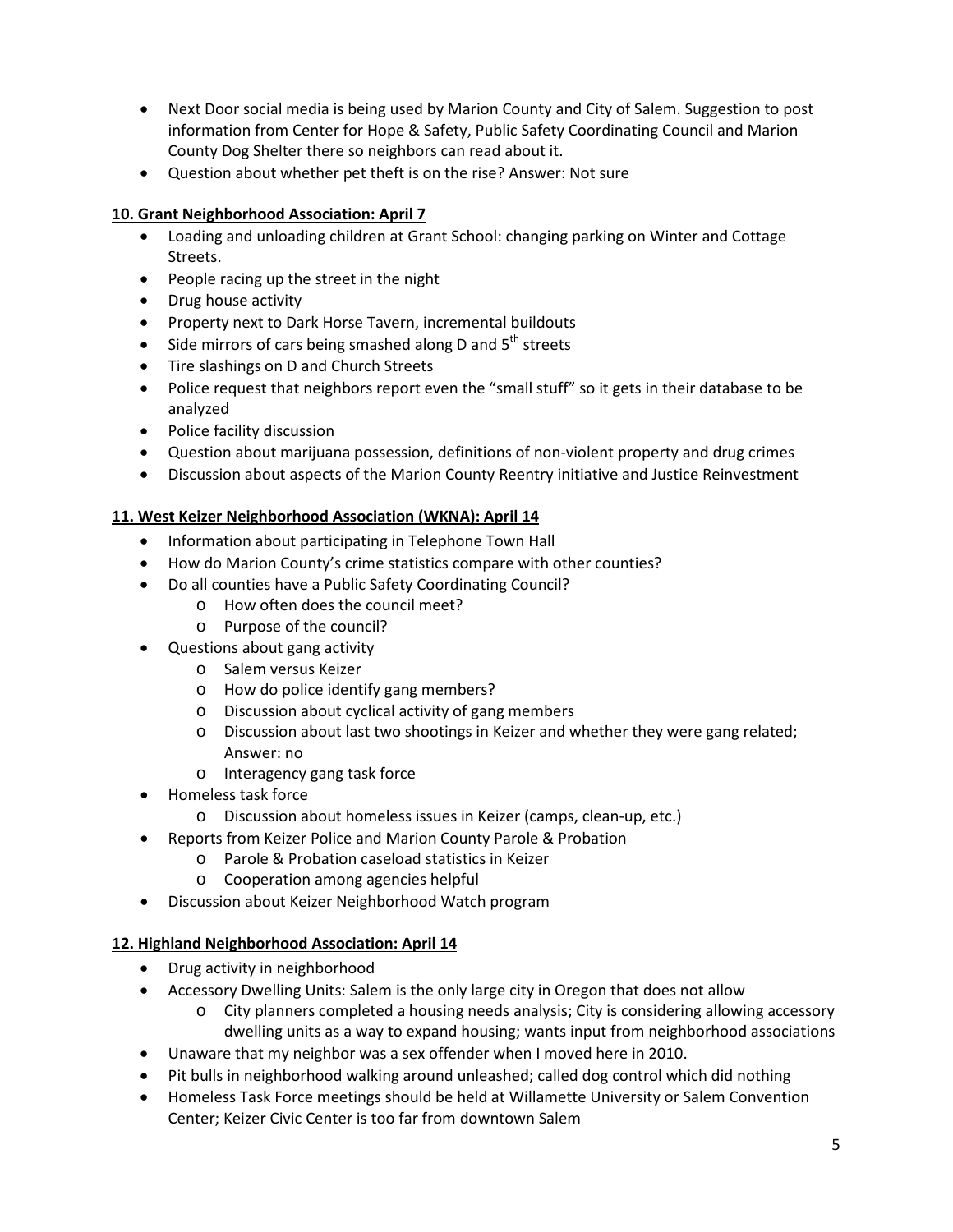- Next Door social media is being used by Marion County and City of Salem. Suggestion to post information from Center for Hope & Safety, Public Safety Coordinating Council and Marion County Dog Shelter there so neighbors can read about it.
- Question about whether pet theft is on the rise? Answer: Not sure

## **10. Grant Neighborhood Association: April 7**

- Loading and unloading children at Grant School: changing parking on Winter and Cottage Streets.
- People racing up the street in the night
- Drug house activity
- Property next to Dark Horse Tavern, incremental buildouts
- Side mirrors of cars being smashed along D and  $5<sup>th</sup>$  streets
- Tire slashings on D and Church Streets
- Police request that neighbors report even the "small stuff" so it gets in their database to be analyzed
- Police facility discussion
- Question about marijuana possession, definitions of non-violent property and drug crimes
- Discussion about aspects of the Marion County Reentry initiative and Justice Reinvestment

## **11. West Keizer Neighborhood Association (WKNA): April 14**

- Information about participating in Telephone Town Hall
- How do Marion County's crime statistics compare with other counties?
- Do all counties have a Public Safety Coordinating Council?
	- o How often does the council meet?
	- o Purpose of the council?
- Questions about gang activity
	- o Salem versus Keizer
	- o How do police identify gang members?
	- o Discussion about cyclical activity of gang members
	- o Discussion about last two shootings in Keizer and whether they were gang related; Answer: no
	- o Interagency gang task force
- Homeless task force
	- o Discussion about homeless issues in Keizer (camps, clean-up, etc.)
- Reports from Keizer Police and Marion County Parole & Probation
	- o Parole & Probation caseload statistics in Keizer
	- o Cooperation among agencies helpful
- Discussion about Keizer Neighborhood Watch program

#### **12. Highland Neighborhood Association: April 14**

- Drug activity in neighborhood
- Accessory Dwelling Units: Salem is the only large city in Oregon that does not allow
	- o City planners completed a housing needs analysis; City is considering allowing accessory dwelling units as a way to expand housing; wants input from neighborhood associations
- Unaware that my neighbor was a sex offender when I moved here in 2010.
- Pit bulls in neighborhood walking around unleashed; called dog control which did nothing
- Homeless Task Force meetings should be held at Willamette University or Salem Convention Center; Keizer Civic Center is too far from downtown Salem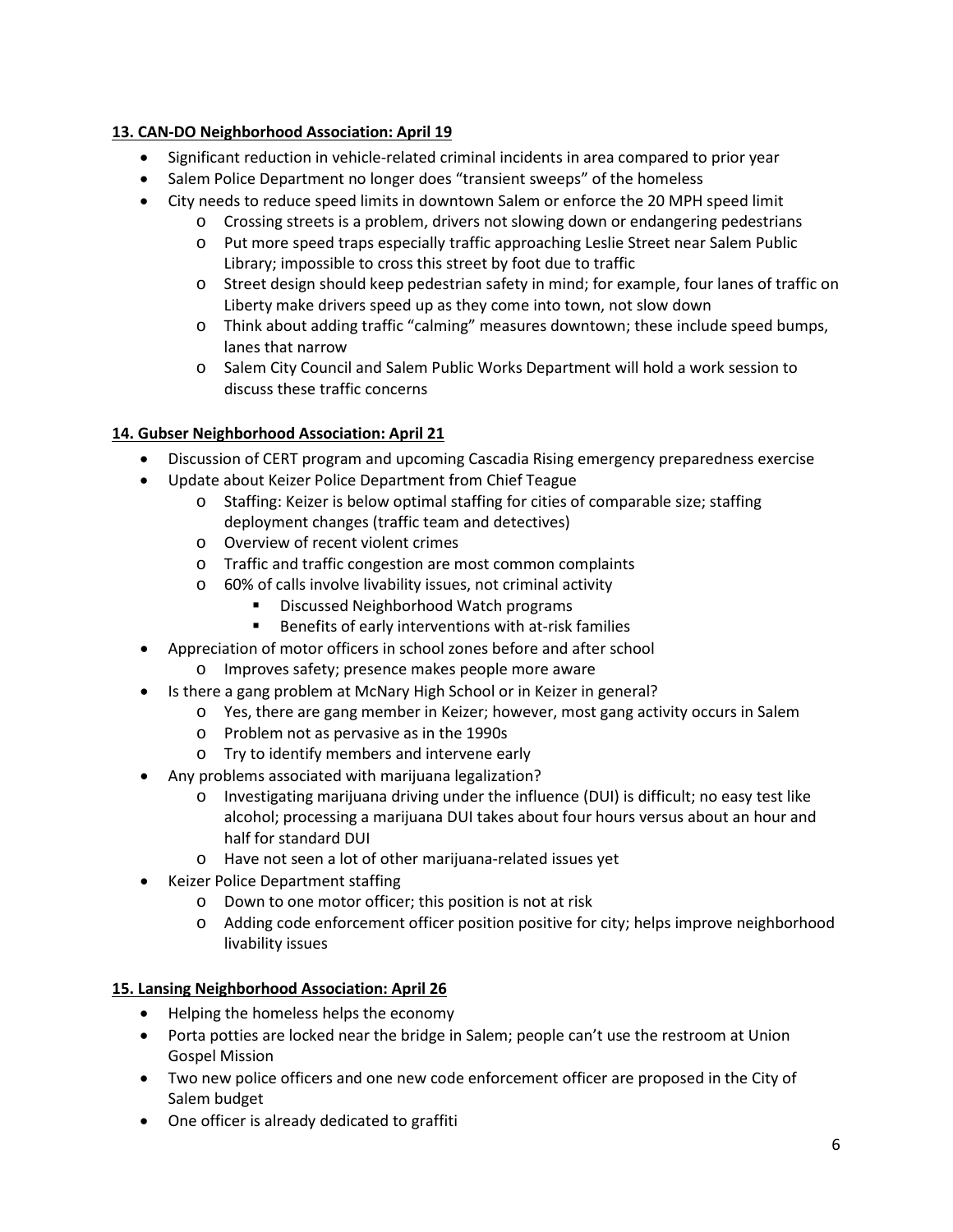# **13. CAN-DO Neighborhood Association: April 19**

- Significant reduction in vehicle-related criminal incidents in area compared to prior year
- Salem Police Department no longer does "transient sweeps" of the homeless
- City needs to reduce speed limits in downtown Salem or enforce the 20 MPH speed limit
	- o Crossing streets is a problem, drivers not slowing down or endangering pedestrians
		- o Put more speed traps especially traffic approaching Leslie Street near Salem Public Library; impossible to cross this street by foot due to traffic
		- o Street design should keep pedestrian safety in mind; for example, four lanes of traffic on Liberty make drivers speed up as they come into town, not slow down
		- o Think about adding traffic "calming" measures downtown; these include speed bumps, lanes that narrow
		- o Salem City Council and Salem Public Works Department will hold a work session to discuss these traffic concerns

# **14. Gubser Neighborhood Association: April 21**

- Discussion of CERT program and upcoming Cascadia Rising emergency preparedness exercise
- Update about Keizer Police Department from Chief Teague
	- o Staffing: Keizer is below optimal staffing for cities of comparable size; staffing deployment changes (traffic team and detectives)
	- o Overview of recent violent crimes
	- o Traffic and traffic congestion are most common complaints
	- o 60% of calls involve livability issues, not criminal activity
		- Discussed Neighborhood Watch programs
		- Benefits of early interventions with at-risk families
- Appreciation of motor officers in school zones before and after school
	- o Improves safety; presence makes people more aware
- Is there a gang problem at McNary High School or in Keizer in general?
	- o Yes, there are gang member in Keizer; however, most gang activity occurs in Salem
		- o Problem not as pervasive as in the 1990s
		- o Try to identify members and intervene early
- Any problems associated with marijuana legalization?
	- o Investigating marijuana driving under the influence (DUI) is difficult; no easy test like alcohol; processing a marijuana DUI takes about four hours versus about an hour and half for standard DUI
	- o Have not seen a lot of other marijuana-related issues yet
- Keizer Police Department staffing
	- o Down to one motor officer; this position is not at risk
	- o Adding code enforcement officer position positive for city; helps improve neighborhood livability issues

## **15. Lansing Neighborhood Association: April 26**

- Helping the homeless helps the economy
- Porta potties are locked near the bridge in Salem; people can't use the restroom at Union Gospel Mission
- Two new police officers and one new code enforcement officer are proposed in the City of Salem budget
- One officer is already dedicated to graffiti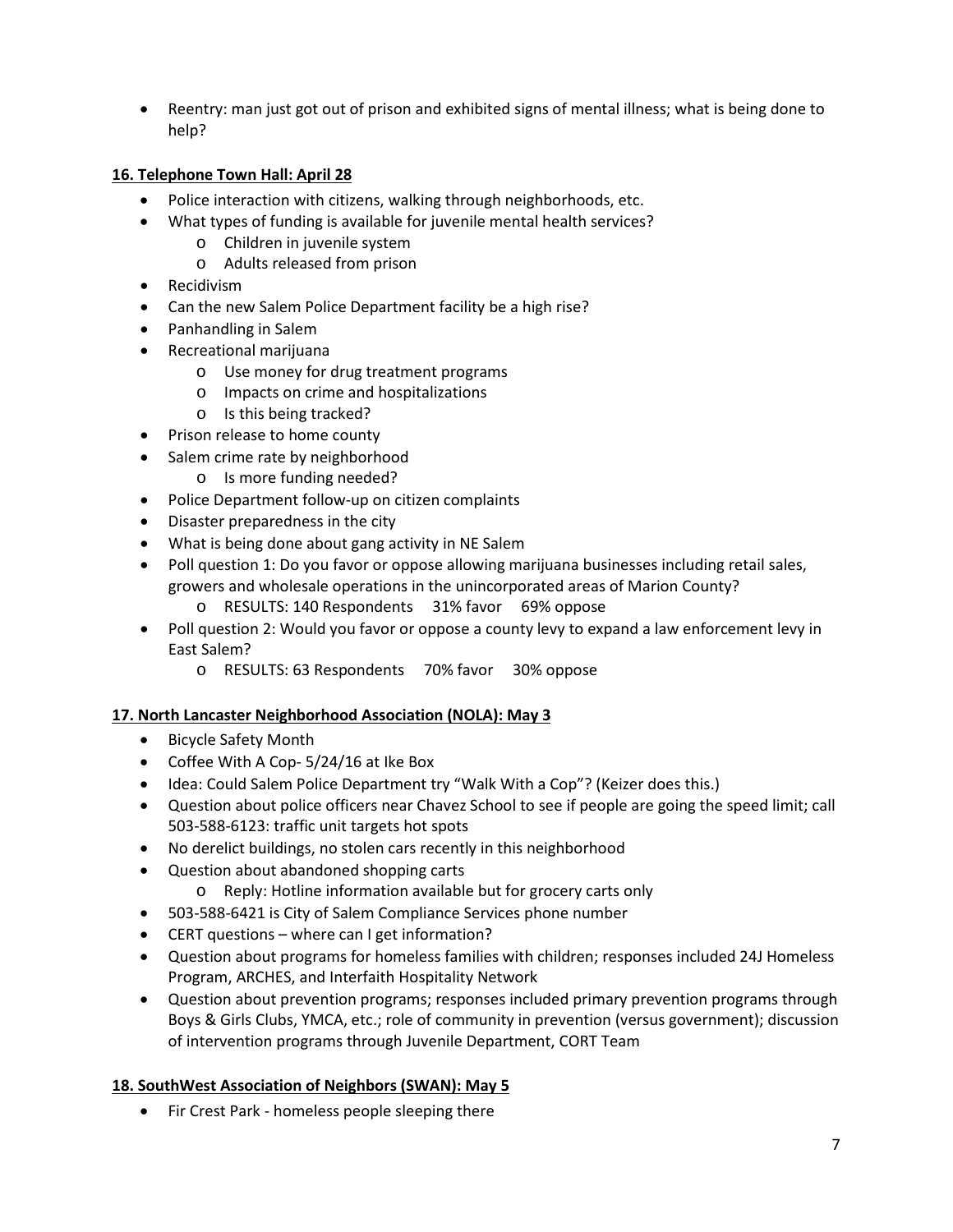• Reentry: man just got out of prison and exhibited signs of mental illness; what is being done to help?

## **16. Telephone Town Hall: April 28**

- Police interaction with citizens, walking through neighborhoods, etc.
- What types of funding is available for juvenile mental health services?
	- o Children in juvenile system
	- o Adults released from prison
- Recidivism
- Can the new Salem Police Department facility be a high rise?
- Panhandling in Salem
- Recreational marijuana
	- o Use money for drug treatment programs
	- o Impacts on crime and hospitalizations
	- o Is this being tracked?
- Prison release to home county
- Salem crime rate by neighborhood
	- o Is more funding needed?
- Police Department follow-up on citizen complaints
- Disaster preparedness in the city
- What is being done about gang activity in NE Salem
- Poll question 1: Do you favor or oppose allowing marijuana businesses including retail sales, growers and wholesale operations in the unincorporated areas of Marion County?
	- o RESULTS: 140 Respondents 31% favor 69% oppose
- Poll question 2: Would you favor or oppose a county levy to expand a law enforcement levy in East Salem?
	- o RESULTS: 63 Respondents 70% favor 30% oppose

## **17. North Lancaster Neighborhood Association (NOLA): May 3**

- Bicycle Safety Month
- Coffee With A Cop- 5/24/16 at Ike Box
- Idea: Could Salem Police Department try "Walk With a Cop"? (Keizer does this.)
- Question about police officers near Chavez School to see if people are going the speed limit; call 503-588-6123: traffic unit targets hot spots
- No derelict buildings, no stolen cars recently in this neighborhood
- Question about abandoned shopping carts
	- o Reply: Hotline information available but for grocery carts only
- 503-588-6421 is City of Salem Compliance Services phone number
- CERT questions where can I get information?
- Question about programs for homeless families with children; responses included 24J Homeless Program, ARCHES, and Interfaith Hospitality Network
- Question about prevention programs; responses included primary prevention programs through Boys & Girls Clubs, YMCA, etc.; role of community in prevention (versus government); discussion of intervention programs through Juvenile Department, CORT Team

# **18. SouthWest Association of Neighbors (SWAN): May 5**

• Fir Crest Park - homeless people sleeping there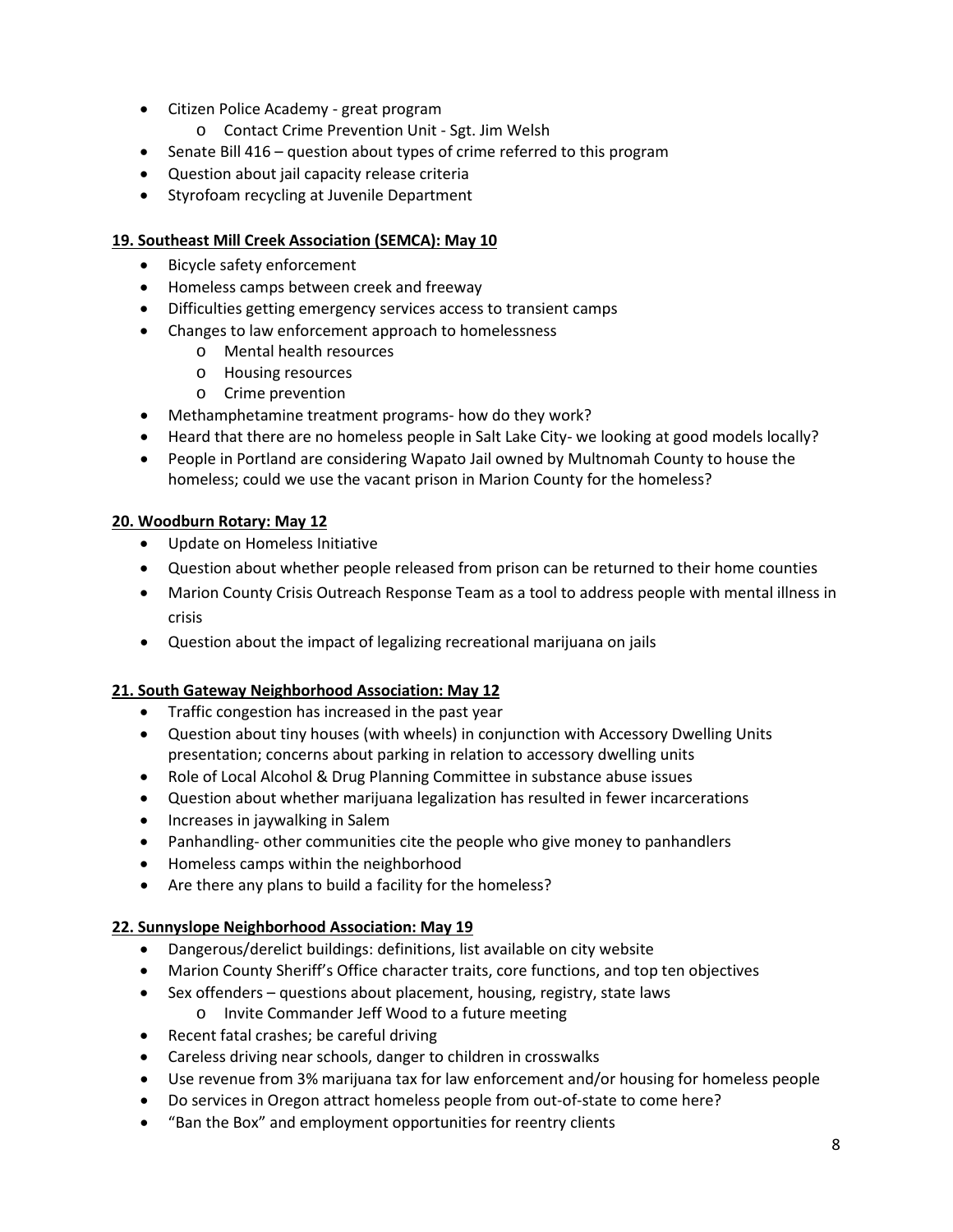- Citizen Police Academy great program
	- o Contact Crime Prevention Unit Sgt. Jim Welsh
- Senate Bill 416 question about types of crime referred to this program
- Question about jail capacity release criteria
- Styrofoam recycling at Juvenile Department

### **19. Southeast Mill Creek Association (SEMCA): May 10**

- Bicycle safety enforcement
- Homeless camps between creek and freeway
- Difficulties getting emergency services access to transient camps
- Changes to law enforcement approach to homelessness
	- o Mental health resources
	- o Housing resources
	- o Crime prevention
- Methamphetamine treatment programs- how do they work?
- Heard that there are no homeless people in Salt Lake City- we looking at good models locally?
- People in Portland are considering Wapato Jail owned by Multnomah County to house the homeless; could we use the vacant prison in Marion County for the homeless?

### **20. Woodburn Rotary: May 12**

- Update on Homeless Initiative
- Question about whether people released from prison can be returned to their home counties
- Marion County Crisis Outreach Response Team as a tool to address people with mental illness in crisis
- Question about the impact of legalizing recreational marijuana on jails

#### **21. South Gateway Neighborhood Association: May 12**

- Traffic congestion has increased in the past year
- Question about tiny houses (with wheels) in conjunction with Accessory Dwelling Units presentation; concerns about parking in relation to accessory dwelling units
- Role of Local Alcohol & Drug Planning Committee in substance abuse issues
- Question about whether marijuana legalization has resulted in fewer incarcerations
- Increases in jaywalking in Salem
- Panhandling- other communities cite the people who give money to panhandlers
- Homeless camps within the neighborhood
- Are there any plans to build a facility for the homeless?

#### **22. Sunnyslope Neighborhood Association: May 19**

- Dangerous/derelict buildings: definitions, list available on city website
- Marion County Sheriff's Office character traits, core functions, and top ten objectives
- Sex offenders questions about placement, housing, registry, state laws
	- o Invite Commander Jeff Wood to a future meeting
- Recent fatal crashes; be careful driving
- Careless driving near schools, danger to children in crosswalks
- Use revenue from 3% marijuana tax for law enforcement and/or housing for homeless people
- Do services in Oregon attract homeless people from out-of-state to come here?
- "Ban the Box" and employment opportunities for reentry clients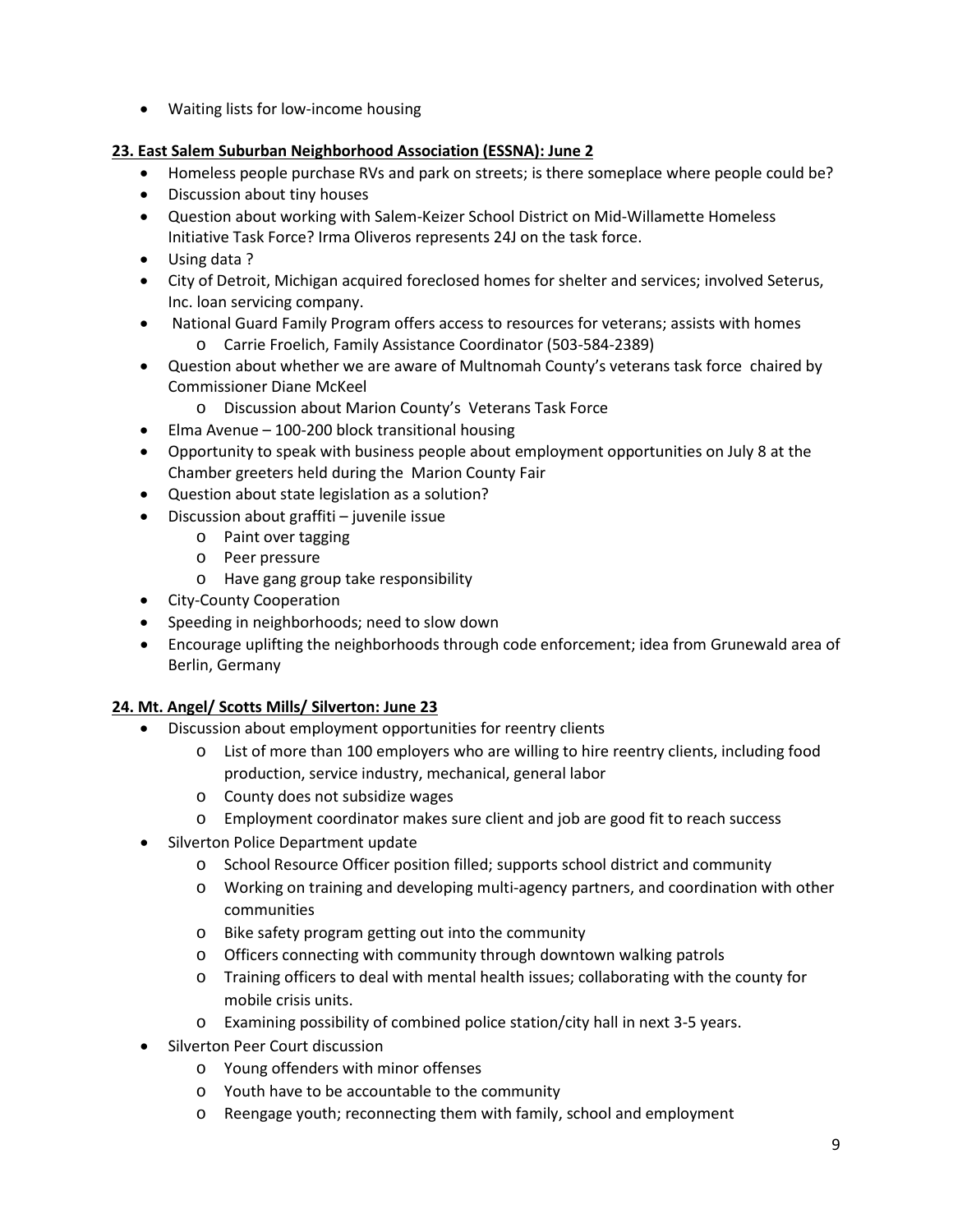• Waiting lists for low-income housing

# **23. East Salem Suburban Neighborhood Association (ESSNA): June 2**

- Homeless people purchase RVs and park on streets; is there someplace where people could be?
- Discussion about tiny houses
- Question about working with Salem-Keizer School District on Mid-Willamette Homeless Initiative Task Force? Irma Oliveros represents 24J on the task force.
- Using data ?
- City of Detroit, Michigan acquired foreclosed homes for shelter and services; involved Seterus, Inc. loan servicing company.
- National Guard Family Program offers access to resources for veterans; assists with homes
	- o Carrie Froelich, Family Assistance Coordinator (503-584-2389)
- Question about whether we are aware of Multnomah County's veterans task force chaired by Commissioner Diane McKeel
	- o Discussion about Marion County's Veterans Task Force
- Elma Avenue 100-200 block transitional housing
- Opportunity to speak with business people about employment opportunities on July 8 at the Chamber greeters held during the Marion County Fair
- Question about state legislation as a solution?
- Discussion about graffiti juvenile issue
	- o Paint over tagging
	- o Peer pressure
	- o Have gang group take responsibility
- City-County Cooperation
- Speeding in neighborhoods; need to slow down
- Encourage uplifting the neighborhoods through code enforcement; idea from Grunewald area of Berlin, Germany

## **24. Mt. Angel/ Scotts Mills/ Silverton: June 23**

- Discussion about employment opportunities for reentry clients
	- o List of more than 100 employers who are willing to hire reentry clients, including food production, service industry, mechanical, general labor
	- o County does not subsidize wages
	- o Employment coordinator makes sure client and job are good fit to reach success
- Silverton Police Department update
	- o School Resource Officer position filled; supports school district and community
	- o Working on training and developing multi-agency partners, and coordination with other communities
	- o Bike safety program getting out into the community
	- o Officers connecting with community through downtown walking patrols
	- o Training officers to deal with mental health issues; collaborating with the county for mobile crisis units.
	- o Examining possibility of combined police station/city hall in next 3-5 years.
- Silverton Peer Court discussion
	- o Young offenders with minor offenses
	- o Youth have to be accountable to the community
	- o Reengage youth; reconnecting them with family, school and employment